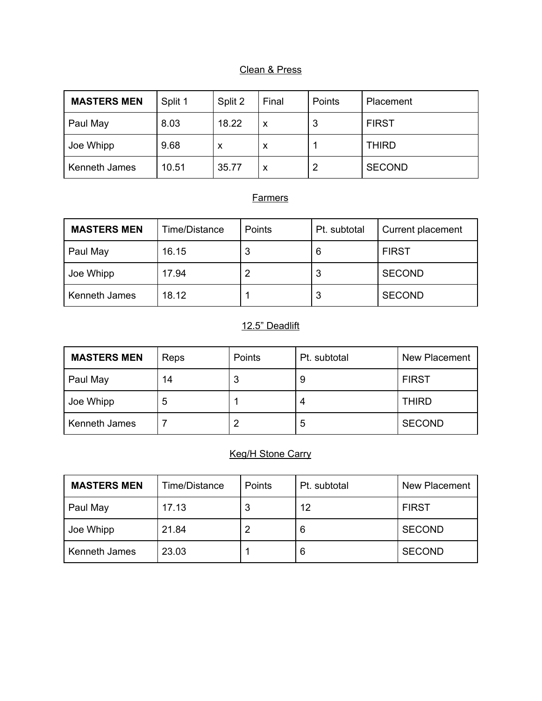### Clean & Press

| <b>MASTERS MEN</b> | Split 1 | Split 2 | Final | Points | Placement     |
|--------------------|---------|---------|-------|--------|---------------|
| Paul May           | 8.03    | 18.22   | х     | 3      | <b>FIRST</b>  |
| Joe Whipp          | 9.68    | x       | x     |        | <b>THIRD</b>  |
| Kenneth James      | 10.51   | 35.77   | х     |        | <b>SECOND</b> |

### **Farmers**

| <b>MASTERS MEN</b> | Time/Distance | <b>Points</b> | Pt. subtotal | Current placement |
|--------------------|---------------|---------------|--------------|-------------------|
| Paul May           | 16.15         | J             | 6            | <b>FIRST</b>      |
| Joe Whipp          | 17.94         |               |              | <b>SECOND</b>     |
| Kenneth James      | 18.12         |               | دت           | <b>SECOND</b>     |

# 12.5" Deadlift

| <b>MASTERS MEN</b> | Reps | Points | Pt. subtotal | <b>New Placement</b> |
|--------------------|------|--------|--------------|----------------------|
| Paul May           | 14   |        | У            | <b>FIRST</b>         |
| Joe Whipp          | 5    |        |              | <b>THIRD</b>         |
| Kenneth James      |      |        | 5            | <b>SECOND</b>        |

### Keg/H Stone Carry

| <b>MASTERS MEN</b> | Time/Distance | Points | Pt. subtotal | New Placement |
|--------------------|---------------|--------|--------------|---------------|
| Paul May           | 17.13         | 3      | 12           | <b>FIRST</b>  |
| Joe Whipp          | 21.84         |        | 6            | <b>SECOND</b> |
| Kenneth James      | 23.03         |        | 6            | <b>SECOND</b> |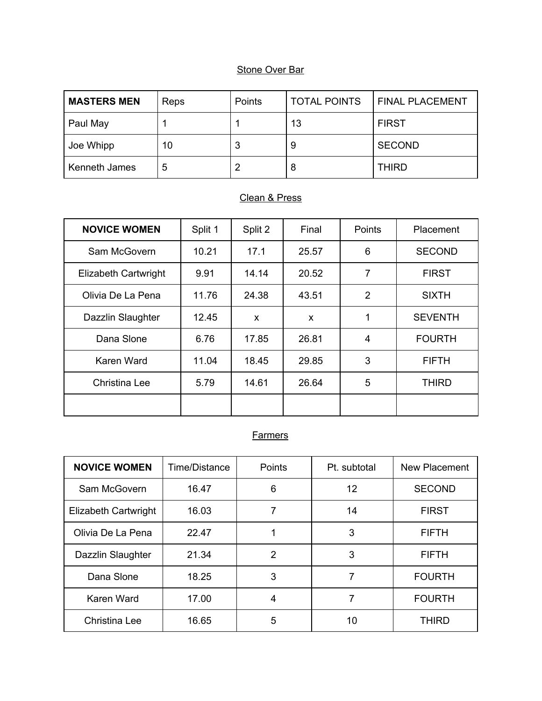| <b>MASTERS MEN</b> | Reps | Points | <b>TOTAL POINTS</b> | <b>FINAL PLACEMENT</b> |
|--------------------|------|--------|---------------------|------------------------|
| Paul May           |      |        | 13                  | <b>FIRST</b>           |
| Joe Whipp          | 10   | 3      | 9                   | <b>SECOND</b>          |
| Kenneth James      | 5    | ົ      | 8                   | <b>THIRD</b>           |

## Clean & Press

| <b>NOVICE WOMEN</b>  | Split 1 | Split 2 | Final                     | Points         | Placement      |
|----------------------|---------|---------|---------------------------|----------------|----------------|
| Sam McGovern         | 10.21   | 17.1    | 25.57                     | 6              | <b>SECOND</b>  |
| Elizabeth Cartwright | 9.91    | 14.14   | 20.52                     | $\overline{7}$ | <b>FIRST</b>   |
| Olivia De La Pena    | 11.76   | 24.38   | 43.51                     | $\overline{2}$ | <b>SIXTH</b>   |
| Dazzlin Slaughter    | 12.45   | X       | $\boldsymbol{\mathsf{x}}$ | 1              | <b>SEVENTH</b> |
| Dana Slone           | 6.76    | 17.85   | 26.81                     | 4              | <b>FOURTH</b>  |
| Karen Ward           | 11.04   | 18.45   | 29.85                     | 3              | <b>FIFTH</b>   |
| Christina Lee        | 5.79    | 14.61   | 26.64                     | 5              | <b>THIRD</b>   |
|                      |         |         |                           |                |                |

| <b>NOVICE WOMEN</b>  | Time/Distance | <b>Points</b>  | Pt. subtotal | New Placement |
|----------------------|---------------|----------------|--------------|---------------|
| Sam McGovern         | 16.47         | 6              | 12           | <b>SECOND</b> |
| Elizabeth Cartwright | 16.03         | 7              | 14           | <b>FIRST</b>  |
| Olivia De La Pena    | 22.47         |                | 3            | <b>FIFTH</b>  |
| Dazzlin Slaughter    | 21.34         | $\overline{2}$ | 3            | <b>FIFTH</b>  |
| Dana Slone           | 18.25         | 3              |              | <b>FOURTH</b> |
| Karen Ward           | 17.00         | 4              | 7            | <b>FOURTH</b> |
| Christina Lee        | 16.65         | 5              | 10           | <b>THIRD</b>  |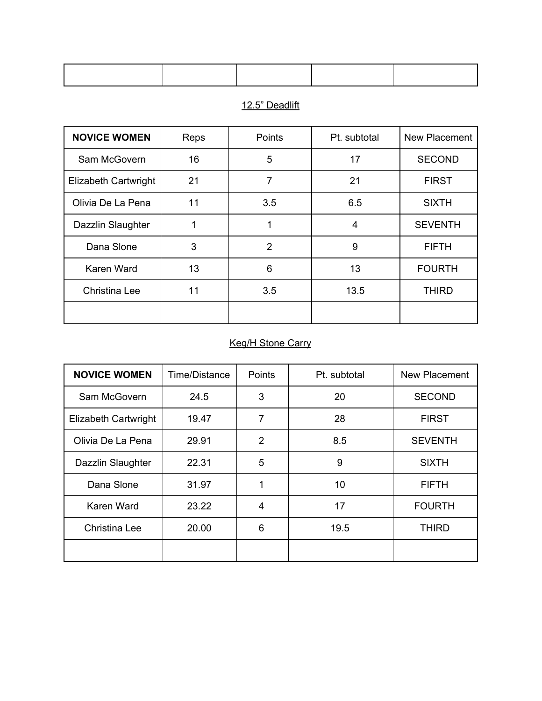### 12.5" Deadlift

| <b>NOVICE WOMEN</b>  | Reps | Points | Pt. subtotal | <b>New Placement</b> |
|----------------------|------|--------|--------------|----------------------|
| Sam McGovern         | 16   | 5      | 17           | <b>SECOND</b>        |
| Elizabeth Cartwright | 21   | 7      | 21           | <b>FIRST</b>         |
| Olivia De La Pena    | 11   | 3.5    | 6.5          | <b>SIXTH</b>         |
| Dazzlin Slaughter    | 1    | 1      | 4            | <b>SEVENTH</b>       |
| Dana Slone           | 3    | 2      | 9            | <b>FIFTH</b>         |
| Karen Ward           | 13   | 6      | 13           | <b>FOURTH</b>        |
| Christina Lee        | 11   | 3.5    | 13.5         | <b>THIRD</b>         |
|                      |      |        |              |                      |

# Keg/H Stone Carry

| <b>NOVICE WOMEN</b>  | Time/Distance | Points         | Pt. subtotal | New Placement  |
|----------------------|---------------|----------------|--------------|----------------|
| Sam McGovern         | 24.5          | 3              | 20           | <b>SECOND</b>  |
| Elizabeth Cartwright | 19.47         | 7              | 28           | <b>FIRST</b>   |
| Olivia De La Pena    | 29.91         | $\overline{2}$ | 8.5          | <b>SEVENTH</b> |
| Dazzlin Slaughter    | 22.31         | 5              | 9            | <b>SIXTH</b>   |
| Dana Slone           | 31.97         | 1              | 10           | <b>FIFTH</b>   |
| Karen Ward           | 23.22         | 4              | 17           | <b>FOURTH</b>  |
| Christina Lee        | 20.00         | 6              | 19.5         | <b>THIRD</b>   |
|                      |               |                |              |                |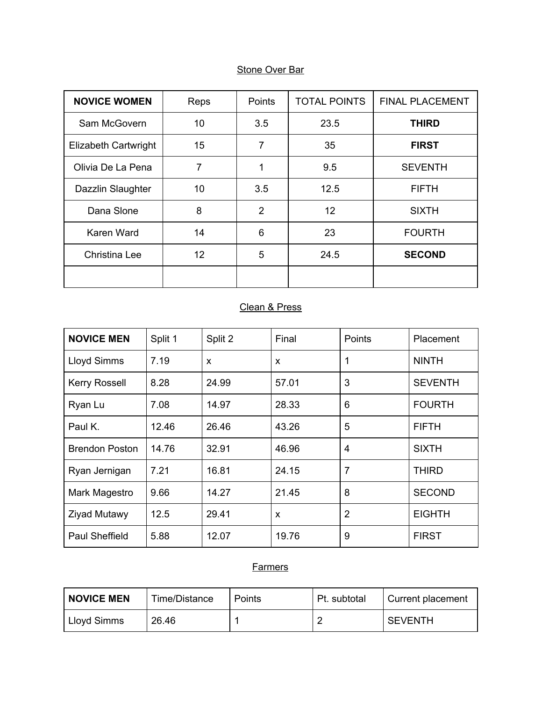| <b>NOVICE WOMEN</b>  | Reps | Points         | <b>TOTAL POINTS</b> | <b>FINAL PLACEMENT</b> |
|----------------------|------|----------------|---------------------|------------------------|
| Sam McGovern         | 10   | 3.5            | 23.5                | <b>THIRD</b>           |
| Elizabeth Cartwright | 15   | $\overline{7}$ | 35                  | <b>FIRST</b>           |
| Olivia De La Pena    | 7    | 1              | 9.5                 | <b>SEVENTH</b>         |
| Dazzlin Slaughter    | 10   | 3.5            | 12.5                | <b>FIFTH</b>           |
| Dana Slone           | 8    | 2              | 12                  | <b>SIXTH</b>           |
| Karen Ward           | 14   | 6              | 23                  | <b>FOURTH</b>          |
| Christina Lee        | 12   | 5              | 24.5                | <b>SECOND</b>          |
|                      |      |                |                     |                        |

## Clean & Press

| <b>NOVICE MEN</b>     | Split 1 | Split 2      | Final                     | Points         | Placement      |
|-----------------------|---------|--------------|---------------------------|----------------|----------------|
| Lloyd Simms           | 7.19    | $\mathsf{x}$ | X                         | 1              | <b>NINTH</b>   |
| <b>Kerry Rossell</b>  | 8.28    | 24.99        | 57.01                     | 3              | <b>SEVENTH</b> |
| Ryan Lu               | 7.08    | 14.97        | 28.33                     | 6              | <b>FOURTH</b>  |
| Paul K.               | 12.46   | 26.46        | 43.26                     | 5              | <b>FIFTH</b>   |
| <b>Brendon Poston</b> | 14.76   | 32.91        | 46.96                     | 4              | <b>SIXTH</b>   |
| Ryan Jernigan         | 7.21    | 16.81        | 24.15                     | 7              | <b>THIRD</b>   |
| Mark Magestro         | 9.66    | 14.27        | 21.45                     | 8              | <b>SECOND</b>  |
| Ziyad Mutawy          | 12.5    | 29.41        | $\boldsymbol{\mathsf{x}}$ | $\overline{2}$ | <b>EIGHTH</b>  |
| <b>Paul Sheffield</b> | 5.88    | 12.07        | 19.76                     | 9              | <b>FIRST</b>   |

| <b>NOVICE MEN</b> | Time/Distance | Points | Pt. subtotal | Current placement |
|-------------------|---------------|--------|--------------|-------------------|
| Lloyd Simms       | 26.46         |        |              | <b>SEVENTH</b>    |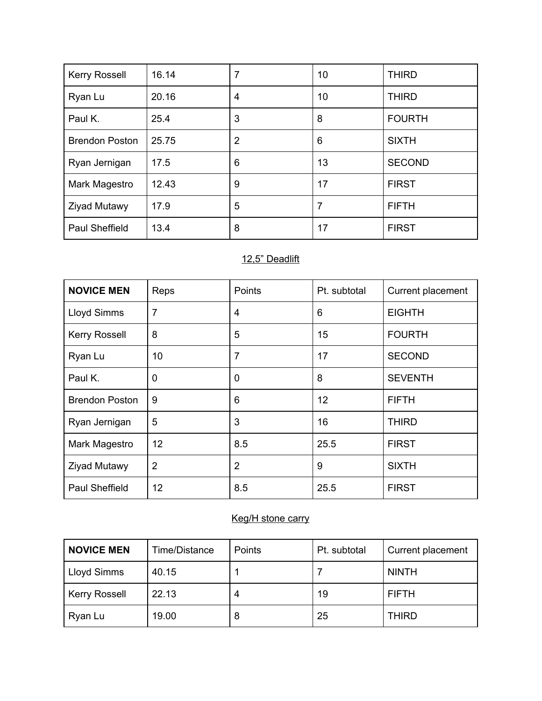| Kerry Rossell         | 16.14 | 7 | 10 | <b>THIRD</b>  |
|-----------------------|-------|---|----|---------------|
| Ryan Lu               | 20.16 | 4 | 10 | <b>THIRD</b>  |
| Paul K.               | 25.4  | 3 | 8  | <b>FOURTH</b> |
| <b>Brendon Poston</b> | 25.75 | 2 | 6  | <b>SIXTH</b>  |
| Ryan Jernigan         | 17.5  | 6 | 13 | <b>SECOND</b> |
| Mark Magestro         | 12.43 | 9 | 17 | <b>FIRST</b>  |
| <b>Ziyad Mutawy</b>   | 17.9  | 5 | 7  | <b>FIFTH</b>  |
| <b>Paul Sheffield</b> | 13.4  | 8 | 17 | <b>FIRST</b>  |

### 12,5" Deadlift

| <b>NOVICE MEN</b>     | Reps           | <b>Points</b>  | Pt. subtotal | Current placement |
|-----------------------|----------------|----------------|--------------|-------------------|
| Lloyd Simms           | $\overline{7}$ | 4              | 6            | <b>EIGHTH</b>     |
| <b>Kerry Rossell</b>  | 8              | 5              | 15           | <b>FOURTH</b>     |
| Ryan Lu               | 10             | 7              | 17           | <b>SECOND</b>     |
| Paul K.               | 0              | 0              | 8            | <b>SEVENTH</b>    |
| <b>Brendon Poston</b> | 9              | 6              | 12           | <b>FIFTH</b>      |
| Ryan Jernigan         | 5              | 3              | 16           | <b>THIRD</b>      |
| Mark Magestro         | 12             | 8.5            | 25.5         | <b>FIRST</b>      |
| <b>Ziyad Mutawy</b>   | $\overline{2}$ | $\overline{2}$ | 9            | <b>SIXTH</b>      |
| <b>Paul Sheffield</b> | 12             | 8.5            | 25.5         | <b>FIRST</b>      |

### Keg/H stone carry

| <b>NOVICE MEN</b>    | Time/Distance | Points | Pt. subtotal | Current placement |
|----------------------|---------------|--------|--------------|-------------------|
| Lloyd Simms          | 40.15         |        |              | <b>NINTH</b>      |
| <b>Kerry Rossell</b> | 22.13         |        | 19           | <b>FIFTH</b>      |
| Ryan Lu              | 19.00         | 8      | 25           | <b>THIRD</b>      |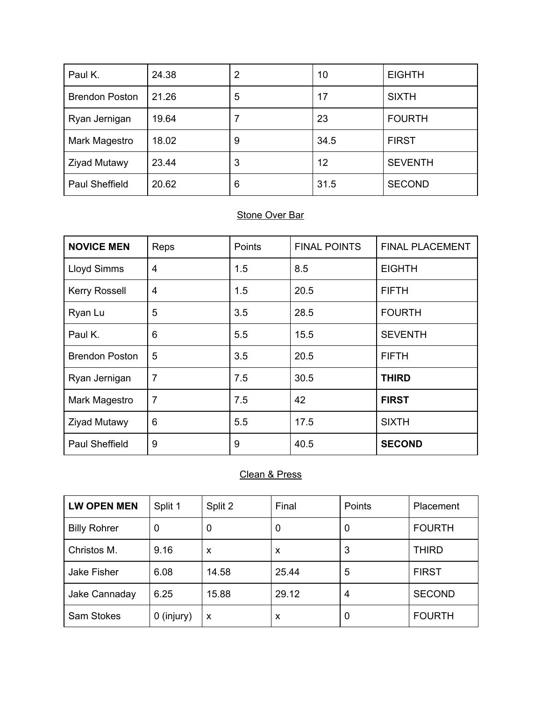| Paul K.               | 24.38 | 2 | 10   | <b>EIGHTH</b>  |
|-----------------------|-------|---|------|----------------|
| <b>Brendon Poston</b> | 21.26 | 5 | 17   | <b>SIXTH</b>   |
| Ryan Jernigan         | 19.64 |   | 23   | <b>FOURTH</b>  |
| Mark Magestro         | 18.02 | 9 | 34.5 | <b>FIRST</b>   |
| <b>Ziyad Mutawy</b>   | 23.44 | 3 | 12   | <b>SEVENTH</b> |
| Paul Sheffield        | 20.62 | 6 | 31.5 | <b>SECOND</b>  |

| <b>NOVICE MEN</b>     | Reps                    | Points | <b>FINAL POINTS</b> | <b>FINAL PLACEMENT</b> |
|-----------------------|-------------------------|--------|---------------------|------------------------|
| <b>Lloyd Simms</b>    | $\overline{4}$          | 1.5    | 8.5                 | <b>EIGHTH</b>          |
| <b>Kerry Rossell</b>  | $\overline{\mathbf{4}}$ | 1.5    | 20.5                | <b>FIFTH</b>           |
| Ryan Lu               | 5                       | 3.5    | 28.5                | <b>FOURTH</b>          |
| Paul K.               | 6                       | 5.5    | 15.5                | <b>SEVENTH</b>         |
| <b>Brendon Poston</b> | 5                       | 3.5    | 20.5                | <b>FIFTH</b>           |
| Ryan Jernigan         | $\overline{7}$          | 7.5    | 30.5                | <b>THIRD</b>           |
| Mark Magestro         | $\overline{7}$          | 7.5    | 42                  | <b>FIRST</b>           |
| <b>Ziyad Mutawy</b>   | 6                       | 5.5    | 17.5                | <b>SIXTH</b>           |
| Paul Sheffield        | 9                       | 9      | 40.5                | <b>SECOND</b>          |

# Clean & Press

| <b>LW OPEN MEN</b>  | Split 1    | Split 2 | Final | Points | Placement     |
|---------------------|------------|---------|-------|--------|---------------|
| <b>Billy Rohrer</b> | 0          | 0       | 0     | 0      | <b>FOURTH</b> |
| Christos M.         | 9.16       | X       | X     | 3      | <b>THIRD</b>  |
| Jake Fisher         | 6.08       | 14.58   | 25.44 | 5      | <b>FIRST</b>  |
| Jake Cannaday       | 6.25       | 15.88   | 29.12 | 4      | <b>SECOND</b> |
| <b>Sam Stokes</b>   | 0 (injury) | X       | X     | 0      | <b>FOURTH</b> |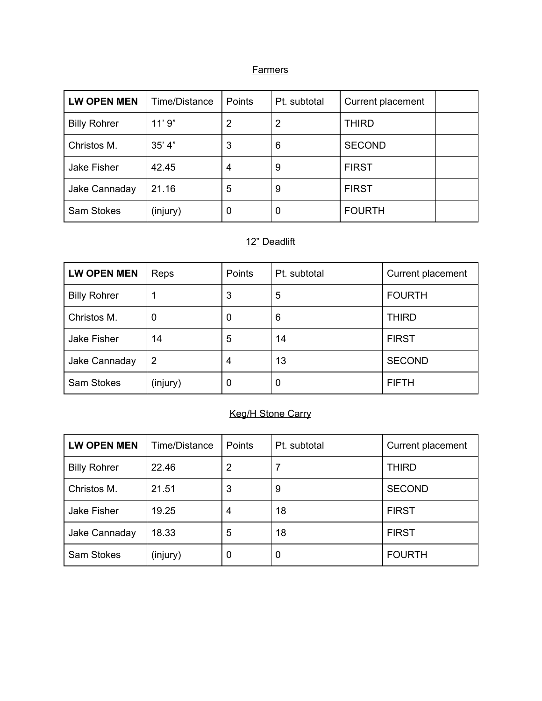#### **Farmers**

| <b>LW OPEN MEN</b>  | Time/Distance | <b>Points</b> | Pt. subtotal | Current placement |  |
|---------------------|---------------|---------------|--------------|-------------------|--|
| <b>Billy Rohrer</b> | 11'9"         | 2             | 2            | <b>THIRD</b>      |  |
| Christos M.         | 35' 4"        | 3             | 6            | <b>SECOND</b>     |  |
| Jake Fisher         | 42.45         | 4             | 9            | <b>FIRST</b>      |  |
| Jake Cannaday       | 21.16         | 5             | 9            | <b>FIRST</b>      |  |
| <b>Sam Stokes</b>   | (injury)      | 0             | 0            | <b>FOURTH</b>     |  |

# 12" Deadlift

| <b>LW OPEN MEN</b>  | Reps     | Points | Pt. subtotal | Current placement |
|---------------------|----------|--------|--------------|-------------------|
| <b>Billy Rohrer</b> |          | 3      | 5            | <b>FOURTH</b>     |
| Christos M.         | 0        | O      | 6            | <b>THIRD</b>      |
| Jake Fisher         | 14       | 5      | 14           | <b>FIRST</b>      |
| Jake Cannaday       | 2        | 4      | 13           | <b>SECOND</b>     |
| <b>Sam Stokes</b>   | (injury) | 0      | 0            | <b>FIFTH</b>      |

## Keg/H Stone Carry

| <b>LW OPEN MEN</b>  | Time/Distance | <b>Points</b> | Pt. subtotal | Current placement |
|---------------------|---------------|---------------|--------------|-------------------|
| <b>Billy Rohrer</b> | 22.46         | 2             | 7            | <b>THIRD</b>      |
| Christos M.         | 21.51         | 3             | 9            | <b>SECOND</b>     |
| Jake Fisher         | 19.25         | 4             | 18           | <b>FIRST</b>      |
| Jake Cannaday       | 18.33         | 5             | 18           | <b>FIRST</b>      |
| <b>Sam Stokes</b>   | (injury)      | 0             | 0            | <b>FOURTH</b>     |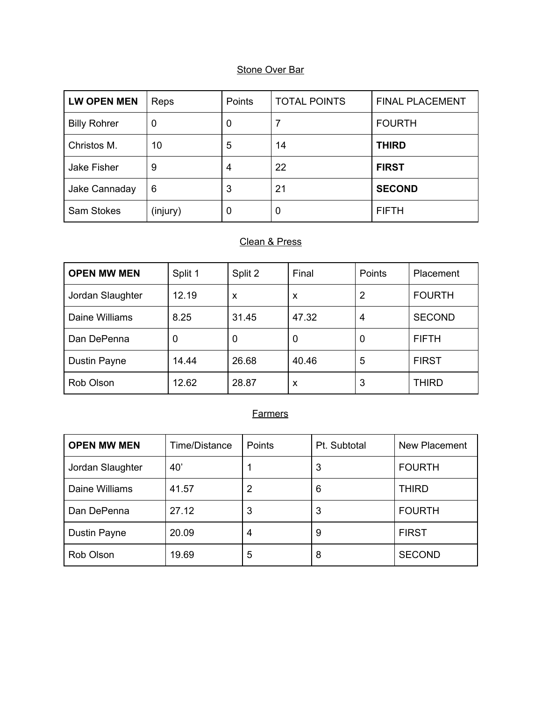| <b>LW OPEN MEN</b>  | Reps             | Points | <b>TOTAL POINTS</b> | <b>FINAL PLACEMENT</b> |
|---------------------|------------------|--------|---------------------|------------------------|
| <b>Billy Rohrer</b> | $\boldsymbol{0}$ | 0      |                     | <b>FOURTH</b>          |
| Christos M.         | 10               | 5      | 14                  | <b>THIRD</b>           |
| Jake Fisher         | 9                | 4      | 22                  | <b>FIRST</b>           |
| Jake Cannaday       | 6                | 3      | 21                  | <b>SECOND</b>          |
| <b>Sam Stokes</b>   | (injury)         | 0      | 0                   | <b>FIFTH</b>           |

# Clean & Press

| <b>OPEN MW MEN</b> | Split 1 | Split 2 | Final | Points | Placement     |
|--------------------|---------|---------|-------|--------|---------------|
| Jordan Slaughter   | 12.19   | X       | X     | 2      | <b>FOURTH</b> |
| Daine Williams     | 8.25    | 31.45   | 47.32 | 4      | <b>SECOND</b> |
| Dan DePenna        | 0       |         | 0     | 0      | <b>FIFTH</b>  |
| Dustin Payne       | 14.44   | 26.68   | 40.46 | 5      | <b>FIRST</b>  |
| Rob Olson          | 12.62   | 28.87   | X     | 3      | <b>THIRD</b>  |

| <b>OPEN MW MEN</b> | Time/Distance | <b>Points</b> | Pt. Subtotal | New Placement |
|--------------------|---------------|---------------|--------------|---------------|
| Jordan Slaughter   | 40'           |               | 3            | <b>FOURTH</b> |
| Daine Williams     | 41.57         | 2             | 6            | <b>THIRD</b>  |
| Dan DePenna        | 27.12         | 3             | 3            | <b>FOURTH</b> |
| Dustin Payne       | 20.09         | 4             | 9            | <b>FIRST</b>  |
| Rob Olson          | 19.69         | 5             | 8            | <b>SECOND</b> |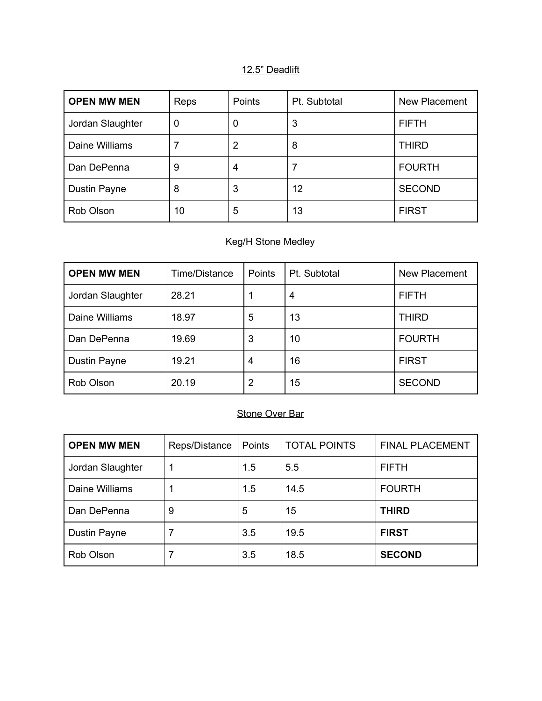#### 12.5" Deadlift

| <b>OPEN MW MEN</b>  | Reps | Points | Pt. Subtotal | New Placement |
|---------------------|------|--------|--------------|---------------|
| Jordan Slaughter    | 0    | 0      | 3            | <b>FIFTH</b>  |
| Daine Williams      |      | 2      | 8            | <b>THIRD</b>  |
| Dan DePenna         | 9    | 4      |              | <b>FOURTH</b> |
| <b>Dustin Payne</b> | 8    | 3      | 12           | <b>SECOND</b> |
| Rob Olson           | 10   | 5      | 13           | <b>FIRST</b>  |

# Keg/H Stone Medley

| <b>OPEN MW MEN</b> | Time/Distance | Points | Pt. Subtotal | New Placement |
|--------------------|---------------|--------|--------------|---------------|
| Jordan Slaughter   | 28.21         |        | 4            | <b>FIFTH</b>  |
| Daine Williams     | 18.97         | 5      | 13           | THIRD         |
| Dan DePenna        | 19.69         | 3      | 10           | <b>FOURTH</b> |
| Dustin Payne       | 19.21         | 4      | 16           | <b>FIRST</b>  |
| Rob Olson          | 20.19         | 2      | 15           | <b>SECOND</b> |

## Stone Over Bar

| <b>OPEN MW MEN</b> | Reps/Distance | Points | <b>TOTAL POINTS</b> | <b>FINAL PLACEMENT</b> |
|--------------------|---------------|--------|---------------------|------------------------|
| Jordan Slaughter   |               | 1.5    | 5.5                 | <b>FIFTH</b>           |
| Daine Williams     |               | 1.5    | 14.5                | <b>FOURTH</b>          |
| Dan DePenna        | 9             | 5      | 15                  | <b>THIRD</b>           |
| Dustin Payne       |               | 3.5    | 19.5                | <b>FIRST</b>           |
| Rob Olson          |               | 3.5    | 18.5                | <b>SECOND</b>          |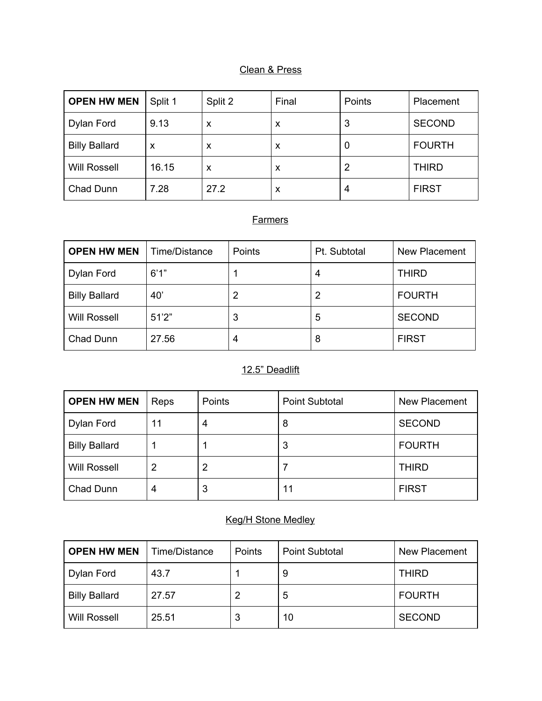#### Clean & Press

| <b>OPEN HW MEN</b>   | Split 1 | Split 2 | Final | Points | Placement     |
|----------------------|---------|---------|-------|--------|---------------|
| Dylan Ford           | 9.13    | X       | X     | 3      | <b>SECOND</b> |
| <b>Billy Ballard</b> | X       | x       | X     |        | <b>FOURTH</b> |
| <b>Will Rossell</b>  | 16.15   | x       | X     | 2      | <b>THIRD</b>  |
| Chad Dunn            | 7.28    | 27.2    | X     |        | <b>FIRST</b>  |

## **Farmers**

| <b>OPEN HW MEN</b>   | Time/Distance | Points | Pt. Subtotal | New Placement |
|----------------------|---------------|--------|--------------|---------------|
| Dylan Ford           | 6'1''         |        |              | <b>THIRD</b>  |
| <b>Billy Ballard</b> | 40'           |        | 2            | <b>FOURTH</b> |
| <b>Will Rossell</b>  | 51'2"         | 3      | 5            | <b>SECOND</b> |
| Chad Dunn            | 27.56         | 4      | 8            | <b>FIRST</b>  |

# 12.5" Deadlift

| <b>OPEN HW MEN</b>   | Reps | Points | <b>Point Subtotal</b> | New Placement |
|----------------------|------|--------|-----------------------|---------------|
| Dylan Ford           | 11   | 4      | 8                     | <b>SECOND</b> |
| <b>Billy Ballard</b> |      |        | 3                     | <b>FOURTH</b> |
| <b>Will Rossell</b>  |      |        |                       | <b>THIRD</b>  |
| Chad Dunn            |      | 3      | 11                    | <b>FIRST</b>  |

### Keg/H Stone Medley

| <b>OPEN HW MEN</b>   | Time/Distance | Points | <b>Point Subtotal</b> | <b>New Placement</b> |
|----------------------|---------------|--------|-----------------------|----------------------|
| Dylan Ford           | 43.7          |        | 9                     | <b>THIRD</b>         |
| <b>Billy Ballard</b> | 27.57         |        | 5                     | <b>FOURTH</b>        |
| <b>Will Rossell</b>  | 25.51         |        | 10                    | <b>SECOND</b>        |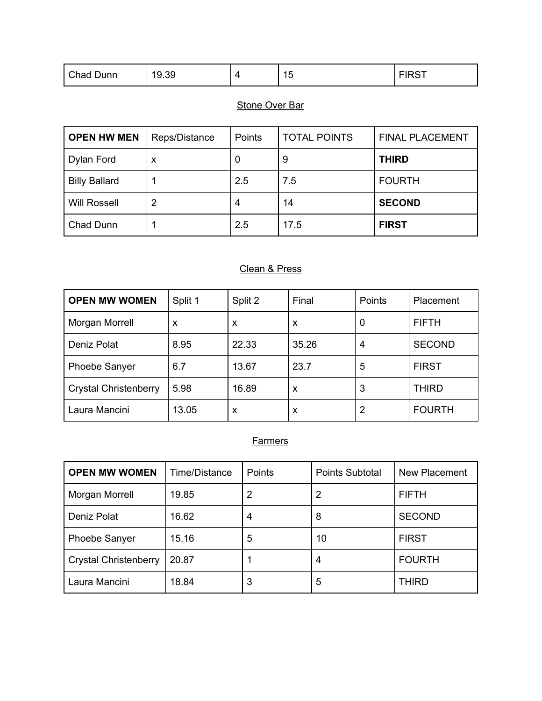| Chad Dunn | 19.39 | . .<br>-<br>┙<br>$\sim$ | -----<br>$\sim$ $\sim$ $\sim$ $\sim$ |
|-----------|-------|-------------------------|--------------------------------------|
|           |       |                         |                                      |

| <b>OPEN HW MEN</b>   | Reps/Distance  | Points | <b>TOTAL POINTS</b> | <b>FINAL PLACEMENT</b> |
|----------------------|----------------|--------|---------------------|------------------------|
| Dylan Ford           | x              | U      | 9                   | <b>THIRD</b>           |
| <b>Billy Ballard</b> |                | 2.5    | 7.5                 | <b>FOURTH</b>          |
| <b>Will Rossell</b>  | $\overline{2}$ | 4      | 14                  | <b>SECOND</b>          |
| Chad Dunn            |                | 2.5    | 17.5                | <b>FIRST</b>           |

# Clean & Press

| <b>OPEN MW WOMEN</b>         | Split 1 | Split 2 | Final | Points | Placement     |
|------------------------------|---------|---------|-------|--------|---------------|
| Morgan Morrell               | X       | X       | X     | 0      | <b>FIFTH</b>  |
| Deniz Polat                  | 8.95    | 22.33   | 35.26 | 4      | <b>SECOND</b> |
| <b>Phoebe Sanyer</b>         | 6.7     | 13.67   | 23.7  | 5      | <b>FIRST</b>  |
| <b>Crystal Christenberry</b> | 5.98    | 16.89   | X     | 3      | <b>THIRD</b>  |
| Laura Mancini                | 13.05   | X       | X     | 2      | <b>FOURTH</b> |

| <b>OPEN MW WOMEN</b>         | Time/Distance | Points | <b>Points Subtotal</b> | New Placement |
|------------------------------|---------------|--------|------------------------|---------------|
| Morgan Morrell               | 19.85         | 2      | 2                      | <b>FIFTH</b>  |
| Deniz Polat                  | 16.62         | 4      | 8                      | <b>SECOND</b> |
| Phoebe Sanyer                | 15.16         | 5      | 10                     | <b>FIRST</b>  |
| <b>Crystal Christenberry</b> | 20.87         |        | 4                      | <b>FOURTH</b> |
| Laura Mancini                | 18.84         | 3      | 5                      | <b>THIRD</b>  |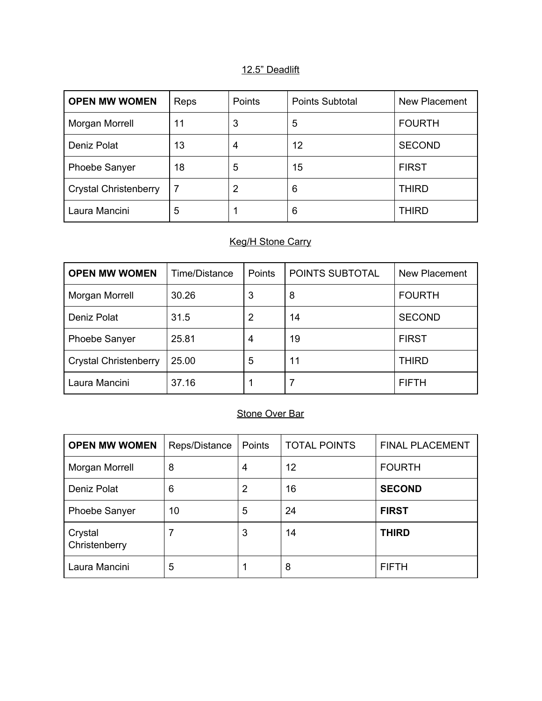#### 12.5" Deadlift

| <b>OPEN MW WOMEN</b>         | Reps | Points | <b>Points Subtotal</b> | New Placement |
|------------------------------|------|--------|------------------------|---------------|
| Morgan Morrell               | 11   | 3      | 5                      | <b>FOURTH</b> |
| Deniz Polat                  | 13   | 4      | 12                     | <b>SECOND</b> |
| <b>Phoebe Sanyer</b>         | 18   | 5      | 15                     | <b>FIRST</b>  |
| <b>Crystal Christenberry</b> |      | 2      | 6                      | <b>THIRD</b>  |
| Laura Mancini                | 5    |        | 6                      | <b>THIRD</b>  |

# Keg/H Stone Carry

| <b>OPEN MW WOMEN</b>         | Time/Distance | Points | POINTS SUBTOTAL | New Placement |
|------------------------------|---------------|--------|-----------------|---------------|
| Morgan Morrell               | 30.26         | 3      | 8               | <b>FOURTH</b> |
| Deniz Polat                  | 31.5          | 2      | 14              | <b>SECOND</b> |
| <b>Phoebe Sanyer</b>         | 25.81         | 4      | 19              | <b>FIRST</b>  |
| <b>Crystal Christenberry</b> | 25.00         | 5      | 11              | <b>THIRD</b>  |
| Laura Mancini                | 37.16         |        |                 | <b>FIFTH</b>  |

## Stone Over Bar

| <b>OPEN MW WOMEN</b>     | Reps/Distance | Points | <b>TOTAL POINTS</b> | <b>FINAL PLACEMENT</b> |
|--------------------------|---------------|--------|---------------------|------------------------|
| Morgan Morrell           | 8             | 4      | 12                  | <b>FOURTH</b>          |
| Deniz Polat              | 6             | 2      | 16                  | <b>SECOND</b>          |
| <b>Phoebe Sanyer</b>     | 10            | 5      | 24                  | <b>FIRST</b>           |
| Crystal<br>Christenberry |               | 3      | 14                  | <b>THIRD</b>           |
| Laura Mancini            | 5             |        | 8                   | <b>FIFTH</b>           |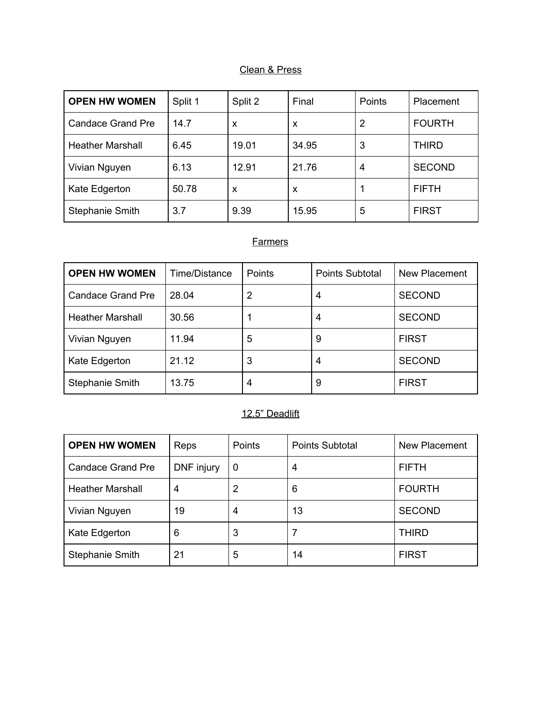#### Clean & Press

| <b>OPEN HW WOMEN</b>     | Split 1 | Split 2 | Final | Points | Placement     |
|--------------------------|---------|---------|-------|--------|---------------|
| <b>Candace Grand Pre</b> | 14.7    | X       | X     | 2      | <b>FOURTH</b> |
| <b>Heather Marshall</b>  | 6.45    | 19.01   | 34.95 | 3      | <b>THIRD</b>  |
| Vivian Nguyen            | 6.13    | 12.91   | 21.76 | 4      | <b>SECOND</b> |
| Kate Edgerton            | 50.78   | X       | X     |        | <b>FIFTH</b>  |
| <b>Stephanie Smith</b>   | 3.7     | 9.39    | 15.95 | 5      | <b>FIRST</b>  |

## **Farmers**

| <b>OPEN HW WOMEN</b>     | Time/Distance | <b>Points</b> | <b>Points Subtotal</b> | New Placement |
|--------------------------|---------------|---------------|------------------------|---------------|
| <b>Candace Grand Pre</b> | 28.04         | 2             | 4                      | <b>SECOND</b> |
| <b>Heather Marshall</b>  | 30.56         |               | 4                      | <b>SECOND</b> |
| Vivian Nguyen            | 11.94         | 5             | 9                      | <b>FIRST</b>  |
| Kate Edgerton            | 21.12         | 3             | 4                      | <b>SECOND</b> |
| Stephanie Smith          | 13.75         | 4             | 9                      | <b>FIRST</b>  |

## 12.5" Deadlift

| <b>OPEN HW WOMEN</b>     | Reps       | Points   | <b>Points Subtotal</b> | New Placement |
|--------------------------|------------|----------|------------------------|---------------|
| <b>Candace Grand Pre</b> | DNF injury | $\bf{0}$ | 4                      | <b>FIFTH</b>  |
| <b>Heather Marshall</b>  | 4          | 2        | 6                      | <b>FOURTH</b> |
| Vivian Nguyen            | 19         | 4        | 13                     | <b>SECOND</b> |
| Kate Edgerton            | 6          | 3        |                        | <b>THIRD</b>  |
| <b>Stephanie Smith</b>   | 21         | 5        | 14                     | <b>FIRST</b>  |